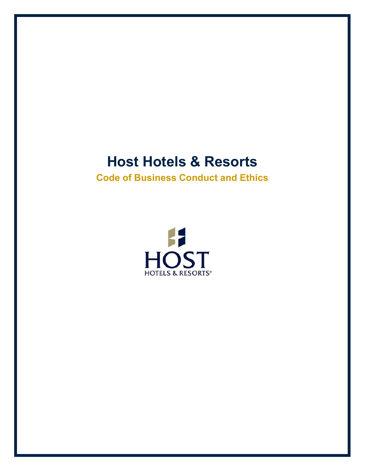# **Host Hotels & Resorts**

<span id="page-0-1"></span><span id="page-0-0"></span>**Code of Business Conduct and Ethics**

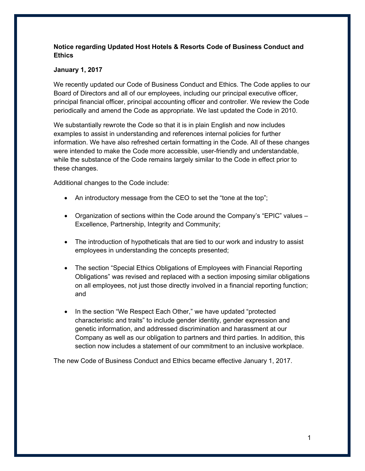## **Notice regarding Updated Host Hotels & Resorts Code of Business Conduct and Ethics**

## **January 1, 2017**

We recently updated our Code of Business Conduct and Ethics. The Code applies to our Board of Directors and all of our employees, including our principal executive officer, principal financial officer, principal accounting officer and controller. We review the Code periodically and amend the Code as appropriate. We last updated the Code in 2010.

We substantially rewrote the Code so that it is in plain English and now includes examples to assist in understanding and references internal policies for further information. We have also refreshed certain formatting in the Code. All of these changes were intended to make the Code more accessible, user-friendly and understandable, while the substance of the Code remains largely similar to the Code in effect prior to these changes.

Additional changes to the Code include:

- An introductory message from the CEO to set the "tone at the top";
- Organization of sections within the Code around the Company's "EPIC" values Excellence, Partnership, Integrity and Community;
- The introduction of hypotheticals that are tied to our work and industry to assist employees in understanding the concepts presented;
- The section "Special Ethics Obligations of Employees with Financial Reporting Obligations" was revised and replaced with a section imposing similar obligations on all employees, not just those directly involved in a financial reporting function; and
- In the section "We Respect Each Other," we have updated "protected" characteristic and traits" to include gender identity, gender expression and genetic information, and addressed discrimination and harassment at our Company as well as our obligation to partners and third parties. In addition, this section now includes a statement of our commitment to an inclusive workplace.

The new Code of Business Conduct and Ethics became effective January 1, 2017.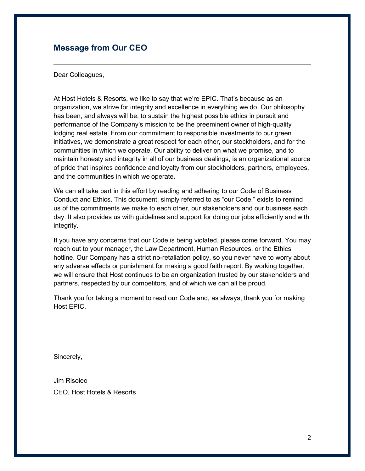## <span id="page-2-0"></span>**Message from Our CEO**

Dear Colleagues,

At Host Hotels & Resorts, we like to say that we're EPIC. That's because as an organization, we strive for integrity and excellence in everything we do. Our philosophy has been, and always will be, to sustain the highest possible ethics in pursuit and performance of the Company's mission to be the preeminent owner of high-quality lodging real estate. From our commitment to responsible investments to our green initiatives, we demonstrate a great respect for each other, our stockholders, and for the communities in which we operate. Our ability to deliver on what we promise, and to maintain honesty and integrity in all of our business dealings, is an organizational source of pride that inspires confidence and loyalty from our stockholders, partners, employees, and the communities in which we operate.

We can all take part in this effort by reading and adhering to our Code of Business Conduct and Ethics. This document, simply referred to as "our Code," exists to remind us of the commitments we make to each other, our stakeholders and our business each day. It also provides us with guidelines and support for doing our jobs efficiently and with integrity.

If you have any concerns that our Code is being violated, please come forward. You may reach out to your manager, the Law Department, Human Resources, or the Ethics hotline. Our Company has a strict no-retaliation policy, so you never have to worry about any adverse effects or punishment for making a good faith report. By working together, we will ensure that Host continues to be an organization trusted by our stakeholders and partners, respected by our competitors, and of which we can all be proud.

Thank you for taking a moment to read our Code and, as always, thank you for making Host EPIC.

Sincerely,

Jim Risoleo CEO, Host Hotels & Resorts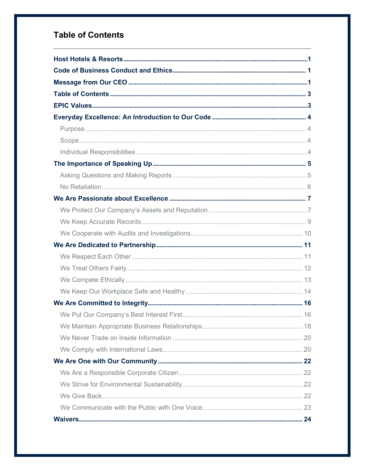# <span id="page-3-0"></span>**Table of Contents**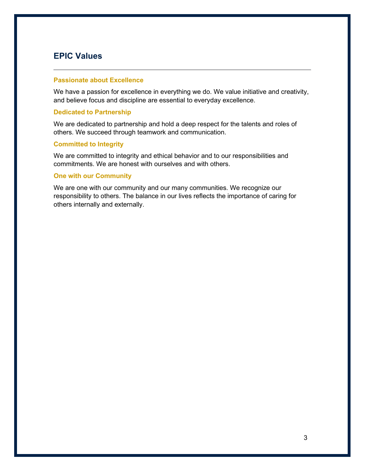# <span id="page-4-0"></span>**EPIC Values**

#### **Passionate about Excellence**

We have a passion for excellence in everything we do. We value initiative and creativity, and believe focus and discipline are essential to everyday excellence.

#### **Dedicated to Partnership**

We are dedicated to partnership and hold a deep respect for the talents and roles of others. We succeed through teamwork and communication.

## **Committed to Integrity**

We are committed to integrity and ethical behavior and to our responsibilities and commitments. We are honest with ourselves and with others.

#### **One with our Community**

We are one with our community and our many communities. We recognize our responsibility to others. The balance in our lives reflects the importance of caring for others internally and externally.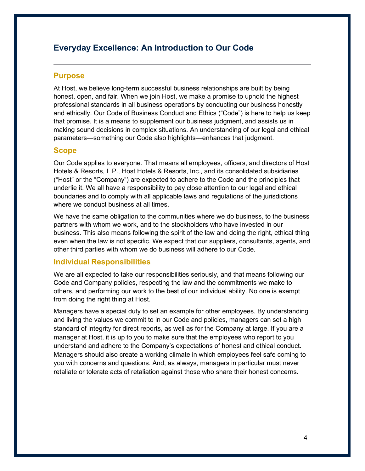# <span id="page-5-0"></span>**Everyday Excellence: An Introduction to Our Code**

## <span id="page-5-1"></span>**Purpose**

At Host, we believe long-term successful business relationships are built by being honest, open, and fair. When we join Host, we make a promise to uphold the highest professional standards in all business operations by conducting our business honestly and ethically. Our Code of Business Conduct and Ethics ("Code") is here to help us keep that promise. It is a means to supplement our business judgment, and assists us in making sound decisions in complex situations. An understanding of our legal and ethical parameters—something our Code also highlights—enhances that judgment.

## <span id="page-5-2"></span>**Scope**

Our Code applies to everyone. That means all employees, officers, and directors of Host Hotels & Resorts, L.P., Host Hotels & Resorts, Inc., and its consolidated subsidiaries ("Host" or the "Company") are expected to adhere to the Code and the principles that underlie it. We all have a responsibility to pay close attention to our legal and ethical boundaries and to comply with all applicable laws and regulations of the jurisdictions where we conduct business at all times.

We have the same obligation to the communities where we do business, to the business partners with whom we work, and to the stockholders who have invested in our business. This also means following the spirit of the law and doing the right, ethical thing even when the law is not specific. We expect that our suppliers, consultants, agents, and other third parties with whom we do business will adhere to our Code.

## <span id="page-5-3"></span>**Individual Responsibilities**

We are all expected to take our responsibilities seriously, and that means following our Code and Company policies, respecting the law and the commitments we make to others, and performing our work to the best of our individual ability. No one is exempt from doing the right thing at Host.

Managers have a special duty to set an example for other employees. By understanding and living the values we commit to in our Code and policies, managers can set a high standard of integrity for direct reports, as well as for the Company at large. If you are a manager at Host, it is up to you to make sure that the employees who report to you understand and adhere to the Company's expectations of honest and ethical conduct. Managers should also create a working climate in which employees feel safe coming to you with concerns and questions. And, as always, managers in particular must never retaliate or tolerate acts of retaliation against those who share their honest concerns.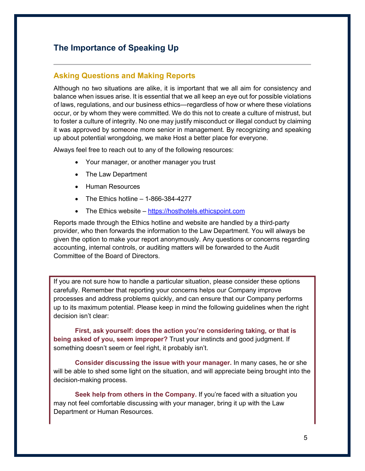# <span id="page-6-0"></span>**The Importance of Speaking Up**

## <span id="page-6-1"></span>**Asking Questions and Making Reports**

Although no two situations are alike, it is important that we all aim for consistency and balance when issues arise. It is essential that we all keep an eye out for possible violations of laws, regulations, and our business ethics—regardless of how or where these violations occur, or by whom they were committed. We do this not to create a culture of mistrust, but to foster a culture of integrity. No one may justify misconduct or illegal conduct by claiming it was approved by someone more senior in management. By recognizing and speaking up about potential wrongdoing, we make Host a better place for everyone.

Always feel free to reach out to any of the following resources:

- Your manager, or another manager you trust
- The Law Department
- Human Resources
- The Ethics hotline  $-1-866-384-4277$
- The Ethics website [https://hosthotels.ethicspoint.com](https://hosthotels.ethicspoint.com/)

Reports made through the Ethics hotline and website are handled by a third-party provider, who then forwards the information to the Law Department. You will always be given the option to make your report anonymously. Any questions or concerns regarding accounting, internal controls, or auditing matters will be forwarded to the Audit Committee of the Board of Directors.

If you are not sure how to handle a particular situation, please consider these options carefully. Remember that reporting your concerns helps our Company improve processes and address problems quickly, and can ensure that our Company performs up to its maximum potential. Please keep in mind the following guidelines when the right decision isn't clear:

**First, ask yourself: does the action you're considering taking, or that is being asked of you, seem improper?** Trust your instincts and good judgment. If something doesn't seem or feel right, it probably isn't.

**Consider discussing the issue with your manager.** In many cases, he or she will be able to shed some light on the situation, and will appreciate being brought into the decision-making process.

**Seek help from others in the Company.** If you're faced with a situation you may not feel comfortable discussing with your manager, bring it up with the Law Department or Human Resources.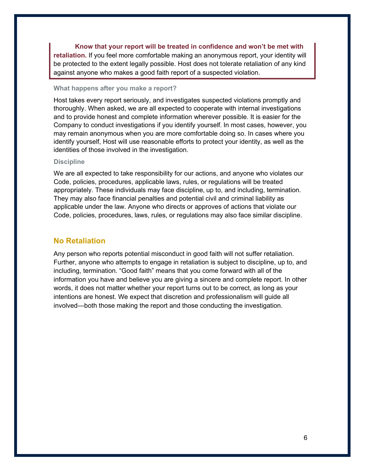**Know that your report will be treated in confidence and won't be met with retaliation.** If you feel more comfortable making an anonymous report, your identity will be protected to the extent legally possible. Host does not tolerate retaliation of any kind against anyone who makes a good faith report of a suspected violation.

#### **What happens after you make a report?**

Host takes every report seriously, and investigates suspected violations promptly and thoroughly. When asked, we are all expected to cooperate with internal investigations and to provide honest and complete information wherever possible. It is easier for the Company to conduct investigations if you identify yourself. In most cases, however, you may remain anonymous when you are more comfortable doing so. In cases where you identify yourself, Host will use reasonable efforts to protect your identity, as well as the identities of those involved in the investigation.

#### **Discipline**

We are all expected to take responsibility for our actions, and anyone who violates our Code, policies, procedures, applicable laws, rules, or regulations will be treated appropriately. These individuals may face discipline, up to, and including, termination. They may also face financial penalties and potential civil and criminal liability as applicable under the law. Anyone who directs or approves of actions that violate our Code, policies, procedures, laws, rules, or regulations may also face similar discipline.

## <span id="page-7-0"></span>**No Retaliation**

Any person who reports potential misconduct in good faith will not suffer retaliation. Further, anyone who attempts to engage in retaliation is subject to discipline, up to, and including, termination. "Good faith" means that you come forward with all of the information you have and believe you are giving a sincere and complete report. In other words, it does not matter whether your report turns out to be correct, as long as your intentions are honest. We expect that discretion and professionalism will guide all involved—both those making the report and those conducting the investigation.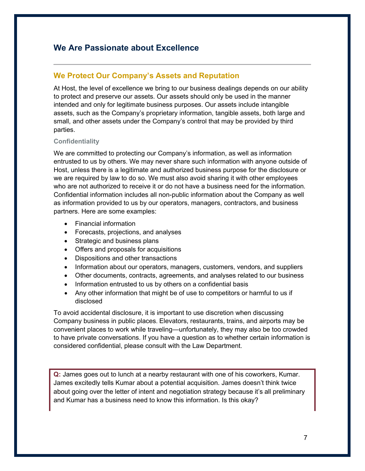# <span id="page-8-0"></span>**We Are Passionate about Excellence**

## <span id="page-8-1"></span>**We Protect Our Company's Assets and Reputation**

At Host, the level of excellence we bring to our business dealings depends on our ability to protect and preserve our assets. Our assets should only be used in the manner intended and only for legitimate business purposes. Our assets include intangible assets, such as the Company's proprietary information, tangible assets, both large and small, and other assets under the Company's control that may be provided by third parties.

## **Confidentiality**

We are committed to protecting our Company's information, as well as information entrusted to us by others. We may never share such information with anyone outside of Host, unless there is a legitimate and authorized business purpose for the disclosure or we are required by law to do so. We must also avoid sharing it with other employees who are not authorized to receive it or do not have a business need for the information. Confidential information includes all non-public information about the Company as well as information provided to us by our operators, managers, contractors, and business partners. Here are some examples:

- Financial information
- Forecasts, projections, and analyses
- Strategic and business plans
- Offers and proposals for acquisitions
- Dispositions and other transactions
- Information about our operators, managers, customers, vendors, and suppliers
- Other documents, contracts, agreements, and analyses related to our business
- Information entrusted to us by others on a confidential basis
- Any other information that might be of use to competitors or harmful to us if disclosed

To avoid accidental disclosure, it is important to use discretion when discussing Company business in public places. Elevators, restaurants, trains, and airports may be convenient places to work while traveling—unfortunately, they may also be too crowded to have private conversations. If you have a question as to whether certain information is considered confidential, please consult with the Law Department.

**Q:** James goes out to lunch at a nearby restaurant with one of his coworkers, Kumar. James excitedly tells Kumar about a potential acquisition. James doesn't think twice about going over the letter of intent and negotiation strategy because it's all preliminary and Kumar has a business need to know this information. Is this okay?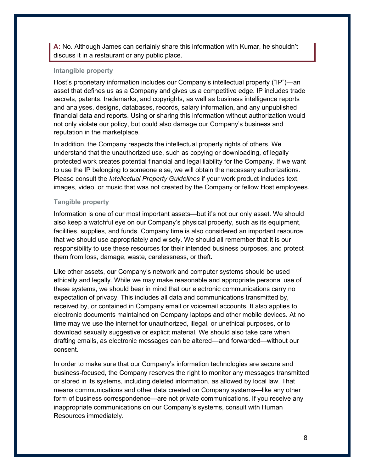**A:** No. Although James can certainly share this information with Kumar, he shouldn't discuss it in a restaurant or any public place.

#### **Intangible property**

Host's proprietary information includes our Company's intellectual property ("IP")—an asset that defines us as a Company and gives us a competitive edge. IP includes trade secrets, patents, trademarks, and copyrights, as well as business intelligence reports and analyses, designs, databases, records, salary information, and any unpublished financial data and reports. Using or sharing this information without authorization would not only violate our policy, but could also damage our Company's business and reputation in the marketplace.

In addition, the Company respects the intellectual property rights of others. We understand that the unauthorized use, such as copying or downloading, of legally protected work creates potential financial and legal liability for the Company. If we want to use the IP belonging to someone else, we will obtain the necessary authorizations. Please consult the *Intellectual Property Guidelines* if your work product includes text, images, video, or music that was not created by the Company or fellow Host employees.

#### **Tangible property**

Information is one of our most important assets—but it's not our only asset. We should also keep a watchful eye on our Company's physical property, such as its equipment, facilities, supplies, and funds. Company time is also considered an important resource that we should use appropriately and wisely. We should all remember that it is our responsibility to use these resources for their intended business purposes, and protect them from loss, damage, waste, carelessness, or theft**.**

Like other assets, our Company's network and computer systems should be used ethically and legally. While we may make reasonable and appropriate personal use of these systems, we should bear in mind that our electronic communications carry no expectation of privacy. This includes all data and communications transmitted by, received by, or contained in Company email or voicemail accounts. It also applies to electronic documents maintained on Company laptops and other mobile devices. At no time may we use the internet for unauthorized, illegal, or unethical purposes, or to download sexually suggestive or explicit material. We should also take care when drafting emails, as electronic messages can be altered—and forwarded—without our consent.

In order to make sure that our Company's information technologies are secure and business-focused, the Company reserves the right to monitor any messages transmitted or stored in its systems, including deleted information, as allowed by local law. That means communications and other data created on Company systems—like any other form of business correspondence—are not private communications. If you receive any inappropriate communications on our Company's systems, consult with Human Resources immediately.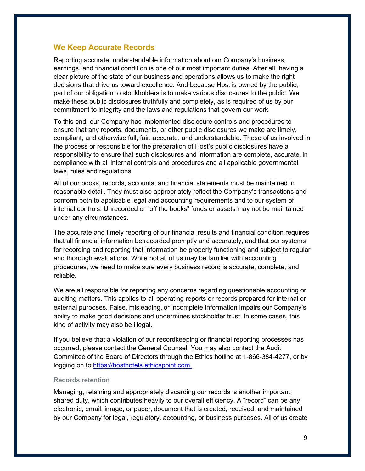## <span id="page-10-0"></span>**We Keep Accurate Records**

Reporting accurate, understandable information about our Company's business, earnings, and financial condition is one of our most important duties. After all, having a clear picture of the state of our business and operations allows us to make the right decisions that drive us toward excellence. And because Host is owned by the public, part of our obligation to stockholders is to make various disclosures to the public. We make these public disclosures truthfully and completely, as is required of us by our commitment to integrity and the laws and regulations that govern our work.

To this end, our Company has implemented disclosure controls and procedures to ensure that any reports, documents, or other public disclosures we make are timely, compliant, and otherwise full, fair, accurate, and understandable. Those of us involved in the process or responsible for the preparation of Host's public disclosures have a responsibility to ensure that such disclosures and information are complete, accurate, in compliance with all internal controls and procedures and all applicable governmental laws, rules and regulations.

All of our books, records, accounts, and financial statements must be maintained in reasonable detail. They must also appropriately reflect the Company's transactions and conform both to applicable legal and accounting requirements and to our system of internal controls. Unrecorded or "off the books" funds or assets may not be maintained under any circumstances.

The accurate and timely reporting of our financial results and financial condition requires that all financial information be recorded promptly and accurately, and that our systems for recording and reporting that information be properly functioning and subject to regular and thorough evaluations. While not all of us may be familiar with accounting procedures, we need to make sure every business record is accurate, complete, and reliable.

We are all responsible for reporting any concerns regarding questionable accounting or auditing matters. This applies to all operating reports or records prepared for internal or external purposes. False, misleading, or incomplete information impairs our Company's ability to make good decisions and undermines stockholder trust. In some cases, this kind of activity may also be illegal.

If you believe that a violation of our recordkeeping or financial reporting processes has occurred, please contact the General Counsel. You may also contact the Audit Committee of the Board of Directors through the Ethics hotline at 1-866-384-4277, or by logging on to [https://hosthotels.ethicspoint.com](https://hosthotels.ethicspoint.com./).

#### **Records retention**

Managing, retaining and appropriately discarding our records is another important, shared duty, which contributes heavily to our overall efficiency. A "record" can be any electronic, email, image, or paper, document that is created, received, and maintained by our Company for legal, regulatory, accounting, or business purposes. All of us create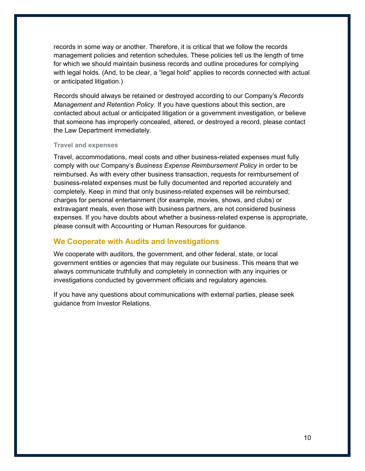records in some way or another. Therefore, it is critical that we follow the records management policies and retention schedules. These policies tell us the length of time for which we should maintain business records and outline procedures for complying with legal holds. (And, to be clear, a "legal hold" applies to records connected with actual or anticipated litigation.)

Records should always be retained or destroyed according to our Company's *Records Management and Retention Policy*. If you have questions about this section, are contacted about actual or anticipated litigation or a government investigation, or believe that someone has improperly concealed, altered, or destroyed a record, please contact the Law Department immediately.

#### **Travel and expenses**

Travel, accommodations, meal costs and other business-related expenses must fully comply with our Company's *Business Expense Reimbursement Policy* in order to be reimbursed. As with every other business transaction, requests for reimbursement of business-related expenses must be fully documented and reported accurately and completely. Keep in mind that only business-related expenses will be reimbursed; charges for personal entertainment (for example, movies, shows, and clubs) or extravagant meals, even those with business partners, are not considered business expenses. If you have doubts about whether a business-related expense is appropriate, please consult with Accounting or Human Resources for guidance.

## <span id="page-11-0"></span>**We Cooperate with Audits and Investigations**

We cooperate with auditors, the government, and other federal, state, or local government entities or agencies that may regulate our business. This means that we always communicate truthfully and completely in connection with any inquiries or investigations conducted by government officials and regulatory agencies.

If you have any questions about communications with external parties, please seek guidance from Investor Relations.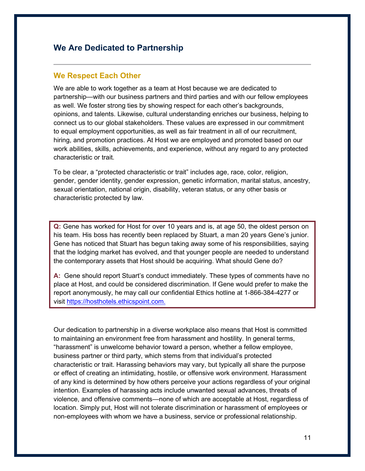# <span id="page-12-0"></span>**We Are Dedicated to Partnership**

## <span id="page-12-1"></span>**We Respect Each Other**

We are able to work together as a team at Host because we are dedicated to partnership—with our business partners and third parties and with our fellow employees as well. We foster strong ties by showing respect for each other's backgrounds, opinions, and talents. Likewise, cultural understanding enriches our business, helping to connect us to our global stakeholders. These values are expressed in our commitment to equal employment opportunities, as well as fair treatment in all of our recruitment, hiring, and promotion practices. At Host we are employed and promoted based on our work abilities, skills, achievements, and experience, without any regard to any protected characteristic or trait.

To be clear, a "protected characteristic or trait" includes age, race, color, religion, gender, gender identity, gender expression, genetic information, marital status, ancestry, sexual orientation, national origin, disability, veteran status, or any other basis or characteristic protected by law.

**Q:** Gene has worked for Host for over 10 years and is, at age 50, the oldest person on his team. His boss has recently been replaced by Stuart, a man 20 years Gene's junior. Gene has noticed that Stuart has begun taking away some of his responsibilities, saying that the lodging market has evolved, and that younger people are needed to understand the contemporary assets that Host should be acquiring. What should Gene do?

**A:** Gene should report Stuart's conduct immediately. These types of comments have no place at Host, and could be considered discrimination. If Gene would prefer to make the report anonymously, he may call our confidential Ethics hotline at 1-866-384-4277 or visit [https://hosthotels.ethicspoint.com.](https://hosthotels.ethicspoint.com./)

Our dedication to partnership in a diverse workplace also means that Host is committed to maintaining an environment free from harassment and hostility. In general terms, "harassment" is unwelcome behavior toward a person, whether a fellow employee, business partner or third party, which stems from that individual's protected characteristic or trait. Harassing behaviors may vary, but typically all share the purpose or effect of creating an intimidating, hostile, or offensive work environment. Harassment of any kind is determined by how others perceive your actions regardless of your original intention. Examples of harassing acts include unwanted sexual advances, threats of violence, and offensive comments—none of which are acceptable at Host, regardless of location. Simply put, Host will not tolerate discrimination or harassment of employees or non-employees with whom we have a business, service or professional relationship.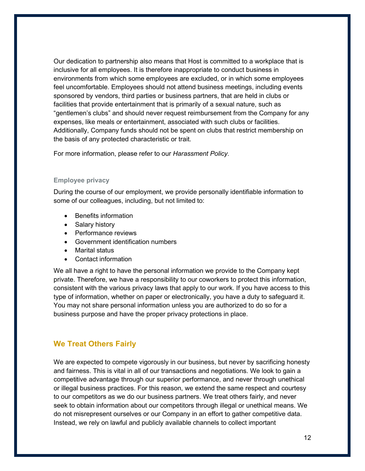Our dedication to partnership also means that Host is committed to a workplace that is inclusive for all employees. It is therefore inappropriate to conduct business in environments from which some employees are excluded, or in which some employees feel uncomfortable. Employees should not attend business meetings, including events sponsored by vendors, third parties or business partners, that are held in clubs or facilities that provide entertainment that is primarily of a sexual nature, such as "gentlemen's clubs" and should never request reimbursement from the Company for any expenses, like meals or entertainment, associated with such clubs or facilities. Additionally, Company funds should not be spent on clubs that restrict membership on the basis of any protected characteristic or trait.

For more information, please refer to our *Harassment Policy*.

#### **Employee privacy**

During the course of our employment, we provide personally identifiable information to some of our colleagues, including, but not limited to:

- Benefits information
- Salary history
- Performance reviews
- Government identification numbers
- Marital status
- Contact information

We all have a right to have the personal information we provide to the Company kept private. Therefore, we have a responsibility to our coworkers to protect this information, consistent with the various privacy laws that apply to our work. If you have access to this type of information, whether on paper or electronically, you have a duty to safeguard it. You may not share personal information unless you are authorized to do so for a business purpose and have the proper privacy protections in place.

## <span id="page-13-0"></span>**We Treat Others Fairly**

We are expected to compete vigorously in our business, but never by sacrificing honesty and fairness. This is vital in all of our transactions and negotiations. We look to gain a competitive advantage through our superior performance, and never through unethical or illegal business practices. For this reason, we extend the same respect and courtesy to our competitors as we do our business partners. We treat others fairly, and never seek to obtain information about our competitors through illegal or unethical means. We do not misrepresent ourselves or our Company in an effort to gather competitive data. Instead, we rely on lawful and publicly available channels to collect important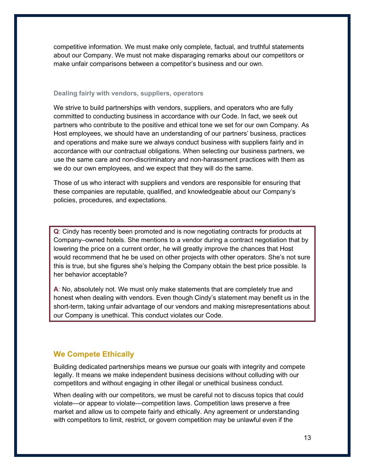competitive information. We must make only complete, factual, and truthful statements about our Company. We must not make disparaging remarks about our competitors or make unfair comparisons between a competitor's business and our own.

#### **Dealing fairly with vendors, suppliers, operators**

We strive to build partnerships with vendors, suppliers, and operators who are fully committed to conducting business in accordance with our Code. In fact, we seek out partners who contribute to the positive and ethical tone we set for our own Company. As Host employees, we should have an understanding of our partners' business, practices and operations and make sure we always conduct business with suppliers fairly and in accordance with our contractual obligations. When selecting our business partners, we use the same care and non-discriminatory and non-harassment practices with them as we do our own employees, and we expect that they will do the same.

Those of us who interact with suppliers and vendors are responsible for ensuring that these companies are reputable, qualified, and knowledgeable about our Company's policies, procedures, and expectations.

**Q**: Cindy has recently been promoted and is now negotiating contracts for products at Company–owned hotels. She mentions to a vendor during a contract negotiation that by lowering the price on a current order, he will greatly improve the chances that Host would recommend that he be used on other projects with other operators. She's not sure this is true, but she figures she's helping the Company obtain the best price possible. Is her behavior acceptable?

**A**: No, absolutely not. We must only make statements that are completely true and honest when dealing with vendors. Even though Cindy's statement may benefit us in the short-term, taking unfair advantage of our vendors and making misrepresentations about our Company is unethical. This conduct violates our Code.

## <span id="page-14-0"></span>**We Compete Ethically**

Building dedicated partnerships means we pursue our goals with integrity and compete legally. It means we make independent business decisions without colluding with our competitors and without engaging in other illegal or unethical business conduct.

When dealing with our competitors, we must be careful not to discuss topics that could violate—or appear to violate—competition laws. Competition laws preserve a free market and allow us to compete fairly and ethically. Any agreement or understanding with competitors to limit, restrict, or govern competition may be unlawful even if the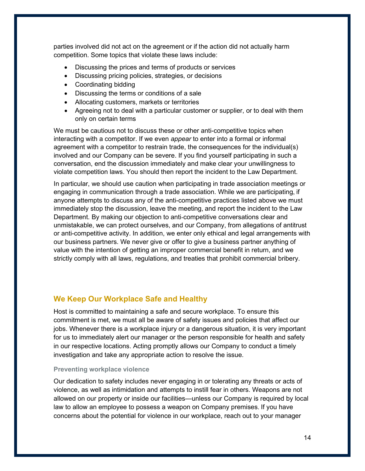parties involved did not act on the agreement or if the action did not actually harm competition. Some topics that violate these laws include:

- Discussing the prices and terms of products or services
- Discussing pricing policies, strategies, or decisions
- Coordinating bidding
- Discussing the terms or conditions of a sale
- Allocating customers, markets or territories
- Agreeing not to deal with a particular customer or supplier, or to deal with them only on certain terms

We must be cautious not to discuss these or other anti-competitive topics when interacting with a competitor. If we even *appear* to enter into a formal or informal agreement with a competitor to restrain trade, the consequences for the individual(s) involved and our Company can be severe. If you find yourself participating in such a conversation, end the discussion immediately and make clear your unwillingness to violate competition laws. You should then report the incident to the Law Department.

In particular, we should use caution when participating in trade association meetings or engaging in communication through a trade association. While we are participating, if anyone attempts to discuss any of the anti-competitive practices listed above we must immediately stop the discussion, leave the meeting, and report the incident to the Law Department. By making our objection to anti-competitive conversations clear and unmistakable, we can protect ourselves, and our Company, from allegations of antitrust or anti-competitive activity. In addition, we enter only ethical and legal arrangements with our business partners. We never give or offer to give a business partner anything of value with the intention of getting an improper commercial benefit in return, and we strictly comply with all laws, regulations, and treaties that prohibit commercial bribery.

## <span id="page-15-0"></span>**We Keep Our Workplace Safe and Healthy**

Host is committed to maintaining a safe and secure workplace. To ensure this commitment is met, we must all be aware of safety issues and policies that affect our jobs. Whenever there is a workplace injury or a dangerous situation, it is very important for us to immediately alert our manager or the person responsible for health and safety in our respective locations. Acting promptly allows our Company to conduct a timely investigation and take any appropriate action to resolve the issue.

## **Preventing workplace violence**

Our dedication to safety includes never engaging in or tolerating any threats or acts of violence, as well as intimidation and attempts to instill fear in others. Weapons are not allowed on our property or inside our facilities—unless our Company is required by local law to allow an employee to possess a weapon on Company premises. If you have concerns about the potential for violence in our workplace, reach out to your manager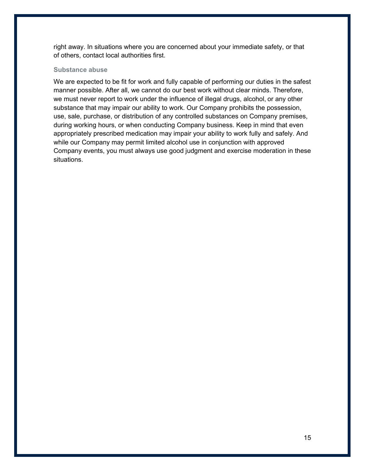right away. In situations where you are concerned about your immediate safety, or that of others, contact local authorities first.

## **Substance abuse**

We are expected to be fit for work and fully capable of performing our duties in the safest manner possible. After all, we cannot do our best work without clear minds. Therefore, we must never report to work under the influence of illegal drugs, alcohol, or any other substance that may impair our ability to work. Our Company prohibits the possession, use, sale, purchase, or distribution of any controlled substances on Company premises, during working hours, or when conducting Company business. Keep in mind that even appropriately prescribed medication may impair your ability to work fully and safely. And while our Company may permit limited alcohol use in conjunction with approved Company events, you must always use good judgment and exercise moderation in these situations.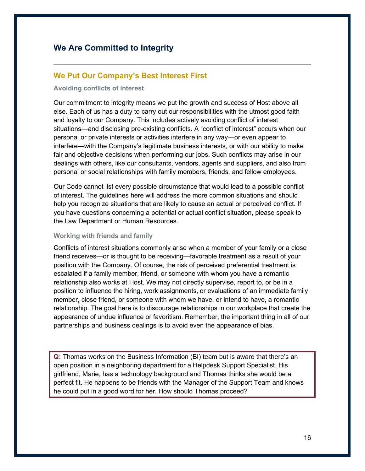# <span id="page-17-0"></span>**We Are Committed to Integrity**

## <span id="page-17-1"></span>**We Put Our Company's Best Interest First**

#### **Avoiding conflicts of interest**

Our commitment to integrity means we put the growth and success of Host above all else. Each of us has a duty to carry out our responsibilities with the utmost good faith and loyalty to our Company. This includes actively avoiding conflict of interest situations—and disclosing pre-existing conflicts. A "conflict of interest" occurs when our personal or private interests or activities interfere in any way—or even appear to interfere—with the Company's legitimate business interests, or with our ability to make fair and objective decisions when performing our jobs. Such conflicts may arise in our dealings with others, like our consultants, vendors, agents and suppliers, and also from personal or social relationships with family members, friends, and fellow employees.

Our Code cannot list every possible circumstance that would lead to a possible conflict of interest. The guidelines here will address the more common situations and should help you recognize situations that are likely to cause an actual or perceived conflict. If you have questions concerning a potential or actual conflict situation, please speak to the Law Department or Human Resources.

#### **Working with friends and family**

Conflicts of interest situations commonly arise when a member of your family or a close friend receives—or is thought to be receiving—favorable treatment as a result of your position with the Company. Of course, the risk of perceived preferential treatment is escalated if a family member, friend, or someone with whom you have a romantic relationship also works at Host. We may not directly supervise, report to, or be in a position to influence the hiring, work assignments, or evaluations of an immediate family member, close friend, or someone with whom we have, or intend to have, a romantic relationship. The goal here is to discourage relationships in our workplace that create the appearance of undue influence or favoritism. Remember, the important thing in all of our partnerships and business dealings is to avoid even the appearance of bias.

**Q:** Thomas works on the Business Information (BI) team but is aware that there's an open position in a neighboring department for a Helpdesk Support Specialist. His girlfriend, Marie, has a technology background and Thomas thinks she would be a perfect fit. He happens to be friends with the Manager of the Support Team and knows he could put in a good word for her. How should Thomas proceed?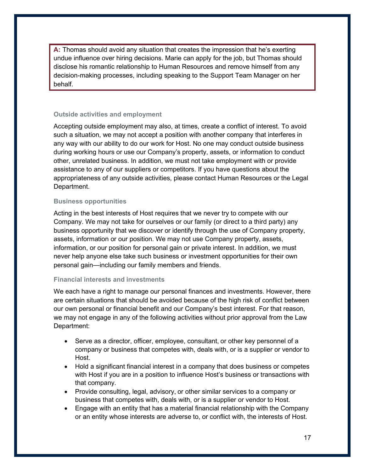**A:** Thomas should avoid any situation that creates the impression that he's exerting undue influence over hiring decisions. Marie can apply for the job, but Thomas should disclose his romantic relationship to Human Resources and remove himself from any decision-making processes, including speaking to the Support Team Manager on her behalf.

## **Outside activities and employment**

Accepting outside employment may also, at times, create a conflict of interest. To avoid such a situation, we may not accept a position with another company that interferes in any way with our ability to do our work for Host. No one may conduct outside business during working hours or use our Company's property, assets, or information to conduct other, unrelated business. In addition, we must not take employment with or provide assistance to any of our suppliers or competitors. If you have questions about the appropriateness of any outside activities, please contact Human Resources or the Legal Department.

## **Business opportunities**

Acting in the best interests of Host requires that we never try to compete with our Company. We may not take for ourselves or our family (or direct to a third party) any business opportunity that we discover or identify through the use of Company property, assets, information or our position. We may not use Company property, assets, information, or our position for personal gain or private interest. In addition, we must never help anyone else take such business or investment opportunities for their own personal gain—including our family members and friends.

#### **Financial interests and investments**

We each have a right to manage our personal finances and investments. However, there are certain situations that should be avoided because of the high risk of conflict between our own personal or financial benefit and our Company's best interest. For that reason, we may not engage in any of the following activities without prior approval from the Law Department:

- Serve as a director, officer, employee, consultant, or other key personnel of a company or business that competes with, deals with, or is a supplier or vendor to Host.
- Hold a significant financial interest in a company that does business or competes with Host if you are in a position to influence Host's business or transactions with that company.
- Provide consulting, legal, advisory, or other similar services to a company or business that competes with, deals with, or is a supplier or vendor to Host.
- Engage with an entity that has a material financial relationship with the Company or an entity whose interests are adverse to, or conflict with, the interests of Host.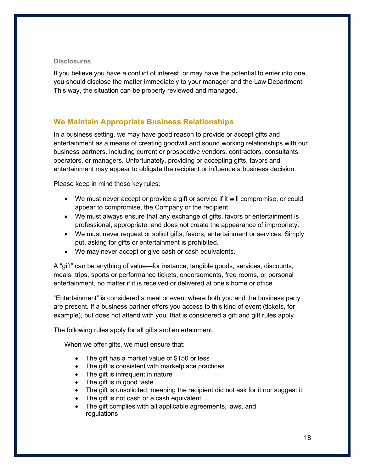#### **Disclosures**

If you believe you have a conflict of interest, or may have the potential to enter into one, you should disclose the matter immediately to your manager and the Law Department. This way, the situation can be properly reviewed and managed.

## <span id="page-19-0"></span>**We Maintain Appropriate Business Relationships**

In a business setting, we may have good reason to provide or accept gifts and entertainment as a means of creating goodwill and sound working relationships with our business partners, including current or prospective vendors, contractors, consultants, operators, or managers. Unfortunately, providing or accepting gifts, favors and entertainment may appear to obligate the recipient or influence a business decision.

Please keep in mind these key rules:

- We must never accept or provide a gift or service if it will compromise, or could appear to compromise, the Company or the recipient.
- We must always ensure that any exchange of gifts, favors or entertainment is professional, appropriate, and does not create the appearance of impropriety.
- We must never request or solicit gifts, favors, entertainment or services. Simply put, asking for gifts or entertainment is prohibited.
- We may never accept or give cash or cash equivalents.

A "gift" can be anything of value—for instance, tangible goods, services, discounts, meals, trips, sports or performance tickets, endorsements, free rooms, or personal entertainment, no matter if it is received or delivered at one's home or office.

"Entertainment" is considered a meal or event where both you and the business party are present. If a business partner offers you access to this kind of event (tickets, for example), but does not attend with you, that is considered a gift and gift rules apply.

The following rules apply for all gifts and entertainment.

When we offer gifts, we must ensure that:

- The gift has a market value of \$150 or less
- The gift is consistent with marketplace practices
- The gift is infrequent in nature
- The gift is in good taste
- The gift is unsolicited, meaning the recipient did not ask for it nor suggest it
- The gift is not cash or a cash equivalent
- The gift complies with all applicable agreements, laws, and regulations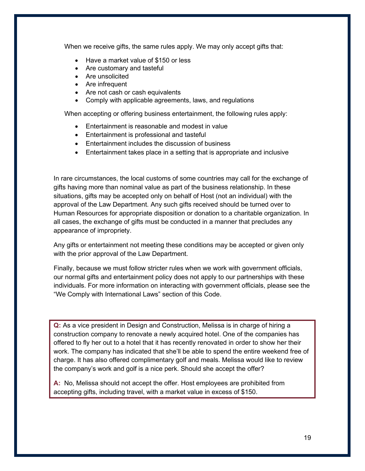When we receive gifts, the same rules apply. We may only accept gifts that:

- Have a market value of \$150 or less
- Are customary and tasteful
- Are unsolicited
- Are infrequent
- Are not cash or cash equivalents
- Comply with applicable agreements, laws, and regulations

When accepting or offering business entertainment, the following rules apply:

- Entertainment is reasonable and modest in value
- Entertainment is professional and tasteful
- Entertainment includes the discussion of business
- Entertainment takes place in a setting that is appropriate and inclusive

In rare circumstances, the local customs of some countries may call for the exchange of gifts having more than nominal value as part of the business relationship. In these situations, gifts may be accepted only on behalf of Host (not an individual) with the approval of the Law Department. Any such gifts received should be turned over to Human Resources for appropriate disposition or donation to a charitable organization. In all cases, the exchange of gifts must be conducted in a manner that precludes any appearance of impropriety.

Any gifts or entertainment not meeting these conditions may be accepted or given only with the prior approval of the Law Department.

Finally, because we must follow stricter rules when we work with government officials, our normal gifts and entertainment policy does not apply to our partnerships with these individuals. For more information on interacting with government officials, please see the "We Comply with International Laws" section of this Code.

**Q:** As a vice president in Design and Construction, Melissa is in charge of hiring a construction company to renovate a newly acquired hotel. One of the companies has offered to fly her out to a hotel that it has recently renovated in order to show her their work. The company has indicated that she'll be able to spend the entire weekend free of charge. It has also offered complimentary golf and meals. Melissa would like to review the company's work and golf is a nice perk. Should she accept the offer?

**A:** No, Melissa should not accept the offer. Host employees are prohibited from accepting gifts, including travel, with a market value in excess of \$150.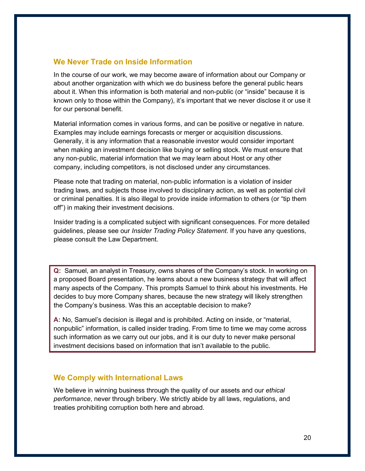## <span id="page-21-0"></span>**We Never Trade on Inside Information**

In the course of our work, we may become aware of information about our Company or about another organization with which we do business before the general public hears about it. When this information is both material and non-public (or "inside" because it is known only to those within the Company), it's important that we never disclose it or use it for our personal benefit.

Material information comes in various forms, and can be positive or negative in nature. Examples may include earnings forecasts or merger or acquisition discussions. Generally, it is any information that a reasonable investor would consider important when making an investment decision like buying or selling stock. We must ensure that any non-public, material information that we may learn about Host or any other company, including competitors, is not disclosed under any circumstances.

Please note that trading on material, non-public information is a violation of insider trading laws, and subjects those involved to disciplinary action, as well as potential civil or criminal penalties. It is also illegal to provide inside information to others (or "tip them off") in making their investment decisions.

Insider trading is a complicated subject with significant consequences. For more detailed guidelines, please see our *Insider Trading Policy Statement*. If you have any questions, please consult the Law Department.

**Q:** Samuel, an analyst in Treasury, owns shares of the Company's stock. In working on a proposed Board presentation, he learns about a new business strategy that will affect many aspects of the Company. This prompts Samuel to think about his investments. He decides to buy more Company shares, because the new strategy will likely strengthen the Company's business. Was this an acceptable decision to make?

**A:** No, Samuel's decision is illegal and is prohibited. Acting on inside, or "material, nonpublic" information, is called insider trading. From time to time we may come across such information as we carry out our jobs, and it is our duty to never make personal investment decisions based on information that isn't available to the public.

## <span id="page-21-1"></span>**We Comply with International Laws**

We believe in winning business through the quality of our assets and our *ethical performance*, never through bribery. We strictly abide by all laws, regulations, and treaties prohibiting corruption both here and abroad.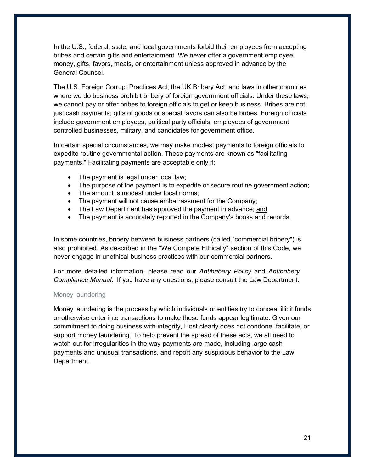In the U.S., federal, state, and local governments forbid their employees from accepting bribes and certain gifts and entertainment. We never offer a government employee money, gifts, favors, meals, or entertainment unless approved in advance by the General Counsel.

The U.S. Foreign Corrupt Practices Act, the UK Bribery Act, and laws in other countries where we do business prohibit bribery of foreign government officials. Under these laws, we cannot pay or offer bribes to foreign officials to get or keep business. Bribes are not just cash payments; gifts of goods or special favors can also be bribes. Foreign officials include government employees, political party officials, employees of government controlled businesses, military, and candidates for government office.

In certain special circumstances, we may make modest payments to foreign officials to expedite routine governmental action. These payments are known as "facilitating payments." Facilitating payments are acceptable only if:

- The payment is legal under local law;
- The purpose of the payment is to expedite or secure routine government action;
- The amount is modest under local norms;
- The payment will not cause embarrassment for the Company;
- The Law Department has approved the payment in advance; and
- The payment is accurately reported in the Company's books and records.

In some countries, bribery between business partners (called "commercial bribery") is also prohibited. As described in the "We Compete Ethically" section of this Code, we never engage in unethical business practices with our commercial partners.

For more detailed information, please read our *Antibribery Policy* and *Antibribery Compliance Manual*. If you have any questions, please consult the Law Department.

#### Money laundering

Money laundering is the process by which individuals or entities try to conceal illicit funds or otherwise enter into transactions to make these funds appear legitimate. Given our commitment to doing business with integrity, Host clearly does not condone, facilitate, or support money laundering. To help prevent the spread of these acts, we all need to watch out for irregularities in the way payments are made, including large cash payments and unusual transactions, and report any suspicious behavior to the Law Department.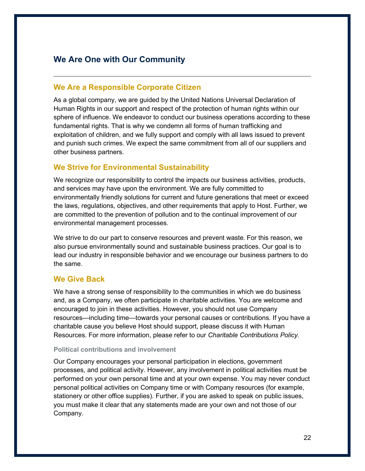# <span id="page-23-0"></span>**We Are One with Our Community**

## <span id="page-23-1"></span>**We Are a Responsible Corporate Citizen**

As a global company, we are guided by the United Nations Universal Declaration of Human Rights in our support and respect of the protection of human rights within our sphere of influence. We endeavor to conduct our business operations according to these fundamental rights. That is why we condemn all forms of human trafficking and exploitation of children, and we fully support and comply with all laws issued to prevent and punish such crimes. We expect the same commitment from all of our suppliers and other business partners.

## <span id="page-23-2"></span>**We Strive for Environmental Sustainability**

We recognize our responsibility to control the impacts our business activities, products, and services may have upon the environment. We are fully committed to environmentally friendly solutions for current and future generations that meet or exceed the laws, regulations, objectives, and other requirements that apply to Host. Further, we are committed to the prevention of pollution and to the continual improvement of our environmental management processes.

We strive to do our part to conserve resources and prevent waste. For this reason, we also pursue environmentally sound and sustainable business practices. Our goal is to lead our industry in responsible behavior and we encourage our business partners to do the same.

## <span id="page-23-3"></span>**We Give Back**

We have a strong sense of responsibility to the communities in which we do business and, as a Company, we often participate in charitable activities. You are welcome and encouraged to join in these activities. However, you should not use Company resources—including time—towards your personal causes or contributions. If you have a charitable cause you believe Host should support, please discuss it with Human Resources. For more information, please refer to our *Charitable Contributions Policy*.

#### **Political contributions and involvement**

Our Company encourages your personal participation in elections, government processes, and political activity. However, any involvement in political activities must be performed on your own personal time and at your own expense. You may never conduct personal political activities on Company time or with Company resources (for example, stationery or other office supplies). Further, if you are asked to speak on public issues, you must make it clear that any statements made are your own and not those of our Company.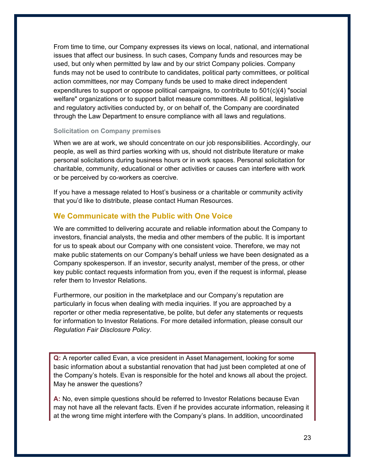From time to time, our Company expresses its views on local, national, and international issues that affect our business. In such cases, Company funds and resources may be used, but only when permitted by law and by our strict Company policies. Company funds may not be used to contribute to candidates, political party committees, or political action committees, nor may Company funds be used to make direct independent expenditures to support or oppose political campaigns, to contribute to  $501(c)(4)$  "social welfare" organizations or to support ballot measure committees. All political, legislative and regulatory activities conducted by, or on behalf of, the Company are coordinated through the Law Department to ensure compliance with all laws and regulations.

#### **Solicitation on Company premises**

When we are at work, we should concentrate on our job responsibilities. Accordingly, our people, as well as third parties working with us, should not distribute literature or make personal solicitations during business hours or in work spaces. Personal solicitation for charitable, community, educational or other activities or causes can interfere with work or be perceived by co-workers as coercive.

If you have a message related to Host's business or a charitable or community activity that you'd like to distribute, please contact Human Resources.

## <span id="page-24-0"></span>**We Communicate with the Public with One Voice**

We are committed to delivering accurate and reliable information about the Company to investors, financial analysts, the media and other members of the public. It is important for us to speak about our Company with one consistent voice. Therefore, we may not make public statements on our Company's behalf unless we have been designated as a Company spokesperson. If an investor, security analyst, member of the press, or other key public contact requests information from you, even if the request is informal, please refer them to Investor Relations.

Furthermore, our position in the marketplace and our Company's reputation are particularly in focus when dealing with media inquiries. If you are approached by a reporter or other media representative, be polite, but defer any statements or requests for information to Investor Relations. For more detailed information, please consult our *Regulation Fair Disclosure Policy*.

**Q:** A reporter called Evan, a vice president in Asset Management, looking for some basic information about a substantial renovation that had just been completed at one of the Company's hotels. Evan is responsible for the hotel and knows all about the project. May he answer the questions?

**A:** No, even simple questions should be referred to Investor Relations because Evan may not have all the relevant facts. Even if he provides accurate information, releasing it at the wrong time might interfere with the Company's plans. In addition, uncoordinated